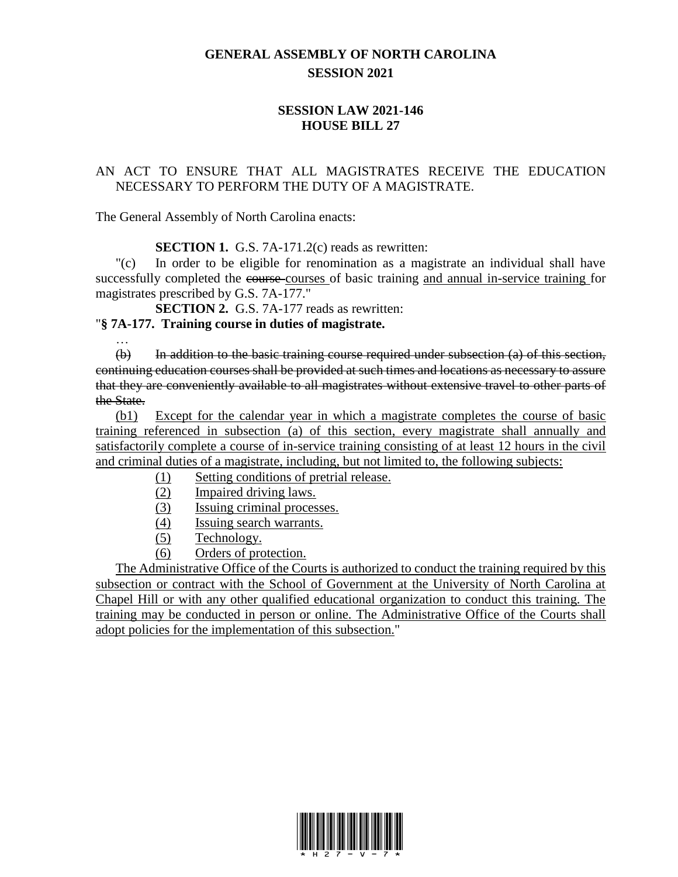## **GENERAL ASSEMBLY OF NORTH CAROLINA SESSION 2021**

## **SESSION LAW 2021-146 HOUSE BILL 27**

## AN ACT TO ENSURE THAT ALL MAGISTRATES RECEIVE THE EDUCATION NECESSARY TO PERFORM THE DUTY OF A MAGISTRATE.

The General Assembly of North Carolina enacts:

**SECTION 1.** G.S. 7A-171.2(c) reads as rewritten:

"(c) In order to be eligible for renomination as a magistrate an individual shall have successfully completed the course courses of basic training and annual in-service training for magistrates prescribed by G.S. 7A-177."

**SECTION 2.** G.S. 7A-177 reads as rewritten:

## "**§ 7A-177. Training course in duties of magistrate.**

… (b) In addition to the basic training course required under subsection (a) of this section, continuing education courses shall be provided at such times and locations as necessary to assure that they are conveniently available to all magistrates without extensive travel to other parts of the State.

(b1) Except for the calendar year in which a magistrate completes the course of basic training referenced in subsection (a) of this section, every magistrate shall annually and satisfactorily complete a course of in-service training consisting of at least 12 hours in the civil and criminal duties of a magistrate, including, but not limited to, the following subjects:

- (1) Setting conditions of pretrial release.
- (2) Impaired driving laws.
- (3) Issuing criminal processes.
- (4) Issuing search warrants.
- (5) Technology.
- (6) Orders of protection.

The Administrative Office of the Courts is authorized to conduct the training required by this subsection or contract with the School of Government at the University of North Carolina at Chapel Hill or with any other qualified educational organization to conduct this training. The training may be conducted in person or online. The Administrative Office of the Courts shall adopt policies for the implementation of this subsection."